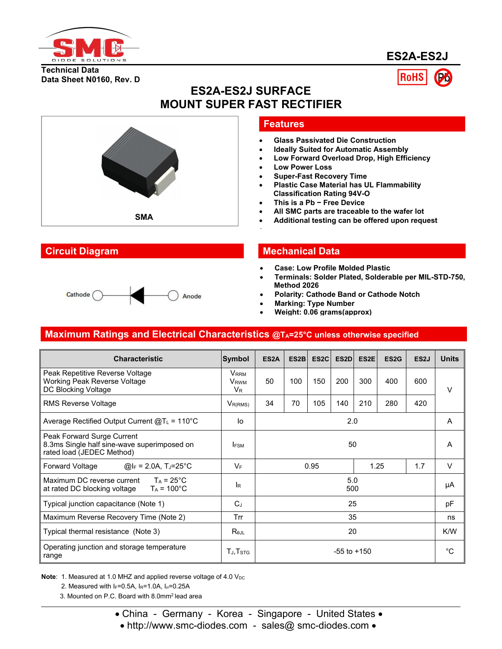

**ES2A-ES2J**

#### **Technical Data Data Sheet N0160, Rev. D**



## **Features**

**ES2A-ES2J SURFACE**

- **Glass Passivated Die Construction**
- **Ideally Suited for Automatic Assembly**
- **Low Forward Overload Drop, High Efficiency**
- **Low Power Loss**
- **Super-Fast Recovery Time**
- **Plastic Case Material has UL Flammability Classification Rating 94V-O**
- **This is a Pb − Free Device**
- **All SMC parts are traceable to the wafer lot**
- 

#### **Circuit Diagram Mechanical Data**

- **Case: Low Profile Molded Plastic**
- **Terminals: Solder Plated, Solderable per MIL-STD-750, Method 2026**
- **Polarity: Cathode Band or Cathode Notch**
- **Marking: Type Number**
- **Weight: 0.06 grams(approx)**

## **Maximum Ratings and Electrical Characteristics @TA=25°C unless otherwise specified**

| <b>Characteristic</b>                                                                                  | Symbol                                                 | ES <sub>2</sub> A | ES <sub>2</sub> B | ES2C | ES <sub>2</sub> D | ES2E | ES <sub>2</sub> G | ES <sub>2</sub> J | <b>Units</b> |  |
|--------------------------------------------------------------------------------------------------------|--------------------------------------------------------|-------------------|-------------------|------|-------------------|------|-------------------|-------------------|--------------|--|
| Peak Repetitive Reverse Voltage<br>Working Peak Reverse Voltage<br>DC Blocking Voltage                 | <b>V</b> <sub>RRM</sub><br>V <sub>RWM</sub><br>$V_{R}$ | 50                | 100               | 150  | 200               | 300  | 400               | 600               | V            |  |
| <b>RMS Reverse Voltage</b>                                                                             | $V_{R(RMS)}$                                           | 34                | 70                | 105  | 140               | 210  | 280               | 420               |              |  |
| Average Rectified Output Current $@T_L = 110°C$                                                        | lo                                                     | 2.0               |                   | A    |                   |      |                   |                   |              |  |
| Peak Forward Surge Current<br>8.3ms Single half sine-wave superimposed on<br>rated load (JEDEC Method) | <b>IFSM</b>                                            | 50                |                   | A    |                   |      |                   |                   |              |  |
| $\textcircled{a}$ I <sub>F</sub> = 2.0A, T <sub>J</sub> =25°C<br><b>Forward Voltage</b>                | $V_F$                                                  |                   |                   | 0.95 |                   |      | 1.25              | 1.7               | $\vee$       |  |
| Maximum DC reverse current<br>$T_A = 25^{\circ}$ C<br>at rated DC blocking voltage<br>$T_A$ = 100°C    | lR.                                                    | 5.0<br>500        |                   | μA   |                   |      |                   |                   |              |  |
| Typical junction capacitance (Note 1)                                                                  | $C_J$                                                  | 25                |                   | pF   |                   |      |                   |                   |              |  |
| Maximum Reverse Recovery Time (Note 2)                                                                 | Trr                                                    | 35                |                   | ns   |                   |      |                   |                   |              |  |
| Typical thermal resistance (Note 3)                                                                    | $R_{\theta \text{JL}}$                                 | 20                |                   | K/W  |                   |      |                   |                   |              |  |
| Operating junction and storage temperature<br>range                                                    | $T_J$ , $T_{STG}$                                      | $-55$ to $+150$   |                   |      | $^{\circ}C$       |      |                   |                   |              |  |

**Note:** 1. Measured at 1.0 MHZ and applied reverse voltage of 4.0 V<sub>DC</sub>

2. Measured with  $I_F=0.5A$ ,  $I_R=1.0A$ ,  $I_T=0.25A$ 

3. Mounted on P.C. Board with 8.0mm<sup>2</sup> lead area

• http://www.smc-diodes.com - sales@ smc-diodes.com •

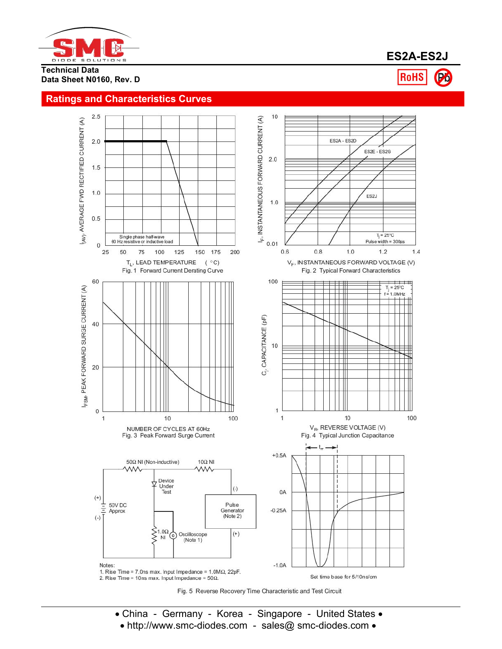

**Technical Data Data Sheet N0160, Rev. D**



# **Ratings and Characteristics Curves**



• China - Germany - Korea - Singapore - United States • • http://www.smc-diodes.com - sales@ smc-diodes.com •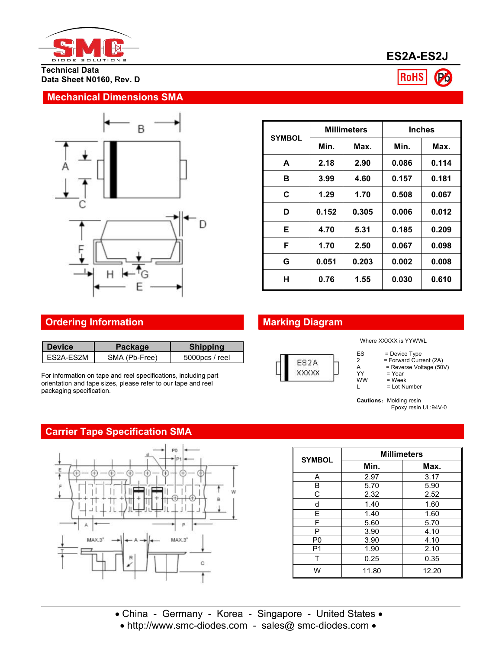

**Technical Data Data Sheet N0160, Rev. D**

### **Mechanical Dimensions SMA**



|               |              | <b>Millimeters</b> | <b>Inches</b> |       |  |
|---------------|--------------|--------------------|---------------|-------|--|
| <b>SYMBOL</b> | Min.<br>Max. |                    | Min.          | Max.  |  |
| A             | 2.18         | 2.90               | 0.086         | 0.114 |  |
| в             | 3.99         | 4.60               | 0.157         | 0.181 |  |
| C             | 1.29         | 1.70               | 0.508         | 0.067 |  |
| D             | 0.152        | 0.305              | 0.006         | 0.012 |  |
| Е             | 4.70         | 5.31               | 0.185         | 0.209 |  |
| F             | 1.70         | 2.50               | 0.067         | 0.098 |  |
| G             | 0.051        | 0.203              | 0.002         | 0.008 |  |
| н             | 0.76         | 1.55               | 0.030         | 0.610 |  |

# **Ordering Information Marking Diagram**

| <b>Device</b> | Packaqe⊺      | <b>Shipping</b>   |  |
|---------------|---------------|-------------------|--|
| I ES2A-ES2M   | SMA (Pb-Free) | $5000$ pcs / reel |  |

For information on tape and reel specifications, including part orientation and tape sizes, please refer to our tape and reel packaging specification.

## **Carrier Tape Specification SMA**



| ES <sub>2</sub> A |  |
|-------------------|--|
| ххххх             |  |

Where XXXXX is YYWWL

- ES = Device Type<br>2 = Forward Curre
	-
- 2 = Forward Current (2A)<br>
A = Reverse Voltage (50)<br>
YY = Year = Reverse Voltage (50V)
- YY = Year<br>WW = Week
- $\begin{array}{lll}\n\text{WW} & = \text{Week} \\
\text{L} & = \text{Lot Ni}\n\end{array}$ = Lot Number

**Cautions: Molding resin** Epoxy resin UL:94V-0

| <b>SYMBOL</b>  | <b>Millimeters</b> |       |  |  |  |  |  |
|----------------|--------------------|-------|--|--|--|--|--|
|                | Min.               | Max.  |  |  |  |  |  |
| Α              | 2.97               | 3.17  |  |  |  |  |  |
| B              | 5.70               | 5.90  |  |  |  |  |  |
| C              | 2.32               | 2.52  |  |  |  |  |  |
| d              | 1.40               | 1.60  |  |  |  |  |  |
| E              | 1.40               | 1.60  |  |  |  |  |  |
| F              | 5.60               | 5.70  |  |  |  |  |  |
| P              | 3.90               | 4.10  |  |  |  |  |  |
| P <sub>0</sub> | 3.90               | 4.10  |  |  |  |  |  |
| P <sub>1</sub> | 1.90               | 2.10  |  |  |  |  |  |
| т              | 0.25               | 0.35  |  |  |  |  |  |
| W              | 11.80              | 12.20 |  |  |  |  |  |

• http://www.smc-diodes.com - sales@ smc-diodes.com •